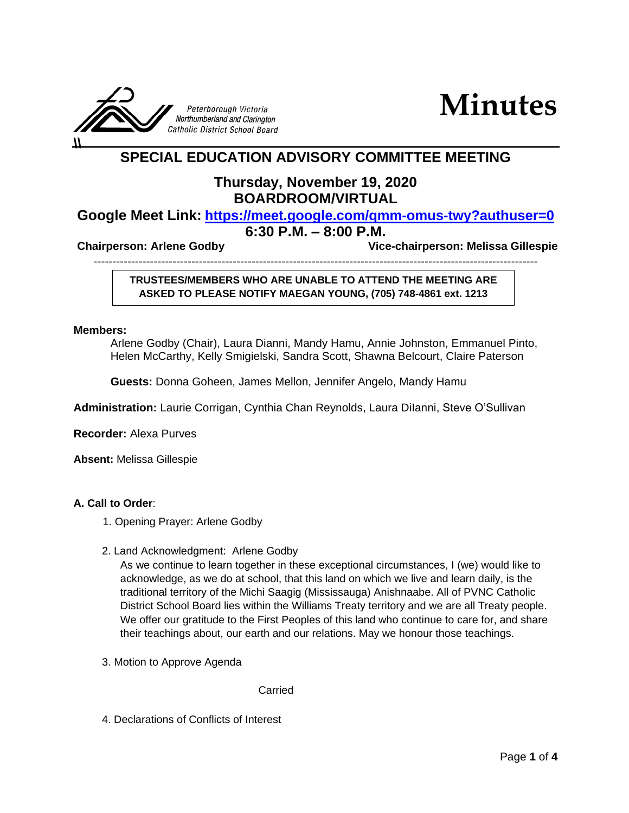



# **SPECIAL EDUCATION ADVISORY COMMITTEE MEETING**

## **Thursday, November 19, 2020 BOARDROOM/VIRTUAL**

## **Google Meet Link: <https://meet.google.com/qmm-omus-twy?authuser=0>**

### **6:30 P.M. – 8:00 P.M.**

**Chairperson: Arlene Godby Vice-chairperson: Melissa Gillespie**

----------------------------------------------------------------------------------------------------------------------

#### **TRUSTEES/MEMBERS WHO ARE UNABLE TO ATTEND THE MEETING ARE ASKED TO PLEASE NOTIFY MAEGAN YOUNG, (705) 748-4861 ext. 1213**

#### **Members:**

Arlene Godby (Chair), Laura Dianni, Mandy Hamu, Annie Johnston, Emmanuel Pinto, Helen McCarthy, Kelly Smigielski, Sandra Scott, Shawna Belcourt, Claire Paterson

**Guests:** Donna Goheen, James Mellon, Jennifer Angelo, Mandy Hamu

**Administration:** Laurie Corrigan, Cynthia Chan Reynolds, Laura DiIanni, Steve O'Sullivan

**Recorder:** Alexa Purves

**Absent:** Melissa Gillespie

#### **A. Call to Order**:

- 1. Opening Prayer: Arlene Godby
- 2. Land Acknowledgment: Arlene Godby

As we continue to learn together in these exceptional circumstances, I (we) would like to acknowledge, as we do at school, that this land on which we live and learn daily, is the traditional territory of the Michi Saagig (Mississauga) Anishnaabe. All of PVNC Catholic District School Board lies within the Williams Treaty territory and we are all Treaty people. We offer our gratitude to the First Peoples of this land who continue to care for, and share their teachings about, our earth and our relations. May we honour those teachings.

3. Motion to Approve Agenda

Carried

4. Declarations of Conflicts of Interest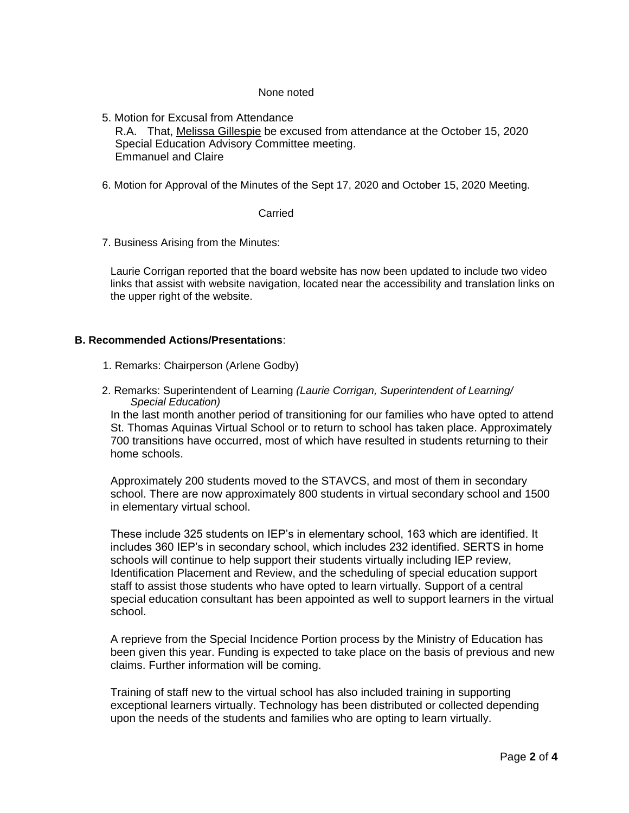#### None noted

5. Motion for Excusal from Attendance R.A. That, Melissa Gillespie be excused from attendance at the October 15, 2020 Special Education Advisory Committee meeting. Emmanuel and Claire

6. Motion for Approval of the Minutes of the Sept 17, 2020 and October 15, 2020 Meeting.

Carried

7. Business Arising from the Minutes:

Laurie Corrigan reported that the board website has now been updated to include two video links that assist with website navigation, located near the accessibility and translation links on the upper right of the website.

#### **B. Recommended Actions/Presentations**:

- 1. Remarks: Chairperson (Arlene Godby)
- 2. Remarks: Superintendent of Learning *(Laurie Corrigan, Superintendent of Learning/ Special Education)*

In the last month another period of transitioning for our families who have opted to attend St. Thomas Aquinas Virtual School or to return to school has taken place. Approximately 700 transitions have occurred, most of which have resulted in students returning to their home schools.

Approximately 200 students moved to the STAVCS, and most of them in secondary school. There are now approximately 800 students in virtual secondary school and 1500 in elementary virtual school.

These include 325 students on IEP's in elementary school, 163 which are identified. It includes 360 IEP's in secondary school, which includes 232 identified. SERTS in home schools will continue to help support their students virtually including IEP review, Identification Placement and Review, and the scheduling of special education support staff to assist those students who have opted to learn virtually. Support of a central special education consultant has been appointed as well to support learners in the virtual school.

A reprieve from the Special Incidence Portion process by the Ministry of Education has been given this year. Funding is expected to take place on the basis of previous and new claims. Further information will be coming.

Training of staff new to the virtual school has also included training in supporting exceptional learners virtually. Technology has been distributed or collected depending upon the needs of the students and families who are opting to learn virtually.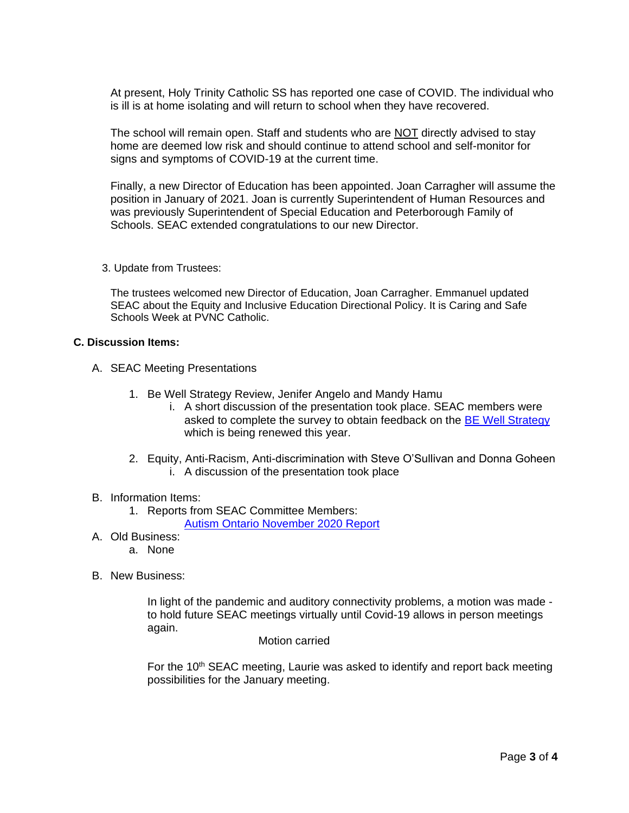At present, Holy Trinity Catholic SS has reported one case of COVID. The individual who is ill is at home isolating and will return to school when they have recovered.

The school will remain open. Staff and students who are NOT directly advised to stay home are deemed low risk and should continue to attend school and self-monitor for signs and symptoms of COVID-19 at the current time.

Finally, a new Director of Education has been appointed. Joan Carragher will assume the position in January of 2021. Joan is currently Superintendent of Human Resources and was previously Superintendent of Special Education and Peterborough Family of Schools. SEAC extended congratulations to our new Director.

3. Update from Trustees:

The trustees welcomed new Director of Education, Joan Carragher. Emmanuel updated SEAC about the Equity and Inclusive Education Directional Policy. It is Caring and Safe Schools Week at PVNC Catholic.

#### **C. Discussion Items:**

- A. SEAC Meeting Presentations
	- 1. Be Well Strategy Review, Jenifer Angelo and Mandy Hamu
		- i. A short discussion of the presentation took place. SEAC members were asked to complete the survey to obtain feedback on the [BE Well Strategy](https://drive.google.com/file/d/1o51_43FitYUSHTpoyvoMydfFjtZI3mYV/view) which is being renewed this year.
	- 2. Equity, Anti-Racism, Anti-discrimination with Steve O'Sullivan and Donna Goheen i. A discussion of the presentation took place

#### B. Information Items:

1. Reports from SEAC Committee Members:

[Autism Ontario November 2020 Report](https://docs.google.com/document/d/1fsM3RIVwYc16aI8bfe3rA8dEsOhG5Re7NLqZ8aAuvPk/edit)

- A. Old Business:
	- a. None
- B. New Business:

In light of the pandemic and auditory connectivity problems, a motion was made to hold future SEAC meetings virtually until Covid-19 allows in person meetings again.

Motion carried

For the  $10<sup>th</sup>$  SEAC meeting, Laurie was asked to identify and report back meeting possibilities for the January meeting.